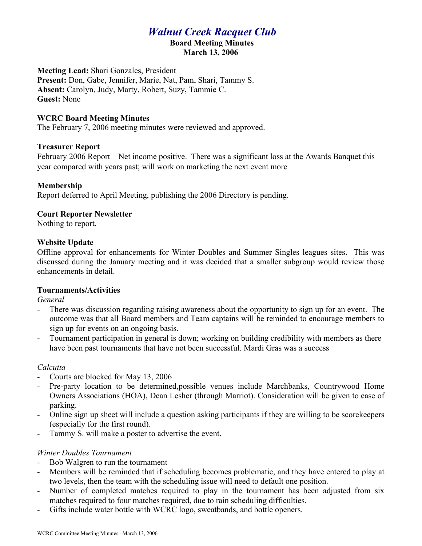# *Walnut Creek Racquet Club*

#### **Board Meeting Minutes March 13, 2006**

**Meeting Lead:** Shari Gonzales, President **Present:** Don, Gabe, Jennifer, Marie, Nat, Pam, Shari, Tammy S. **Absent:** Carolyn, Judy, Marty, Robert, Suzy, Tammie C. **Guest:** None

## **WCRC Board Meeting Minutes**

The February 7, 2006 meeting minutes were reviewed and approved.

## **Treasurer Report**

February 2006 Report – Net income positive. There was a significant loss at the Awards Banquet this year compared with years past; will work on marketing the next event more

## **Membership**

Report deferred to April Meeting, publishing the 2006 Directory is pending.

## **Court Reporter Newsletter**

Nothing to report.

## **Website Update**

Offline approval for enhancements for Winter Doubles and Summer Singles leagues sites. This was discussed during the January meeting and it was decided that a smaller subgroup would review those enhancements in detail.

# **Tournaments/Activities**

*General*

- There was discussion regarding raising awareness about the opportunity to sign up for an event. The outcome was that all Board members and Team captains will be reminded to encourage members to sign up for events on an ongoing basis.
- Tournament participation in general is down; working on building credibility with members as there have been past tournaments that have not been successful. Mardi Gras was a success

# *Calcutta*

- Courts are blocked for May 13, 2006
- Pre-party location to be determined,possible venues include Marchbanks, Countrywood Home Owners Associations (HOA), Dean Lesher (through Marriot). Consideration will be given to ease of parking.
- Online sign up sheet will include a question asking participants if they are willing to be scorekeepers (especially for the first round).
- Tammy S. will make a poster to advertise the event.

# *Winter Doubles Tournament*

- Bob Walgren to run the tournament
- Members will be reminded that if scheduling becomes problematic, and they have entered to play at two levels, then the team with the scheduling issue will need to default one position.
- Number of completed matches required to play in the tournament has been adjusted from six matches required to four matches required, due to rain scheduling difficulties.
- Gifts include water bottle with WCRC logo, sweatbands, and bottle openers.